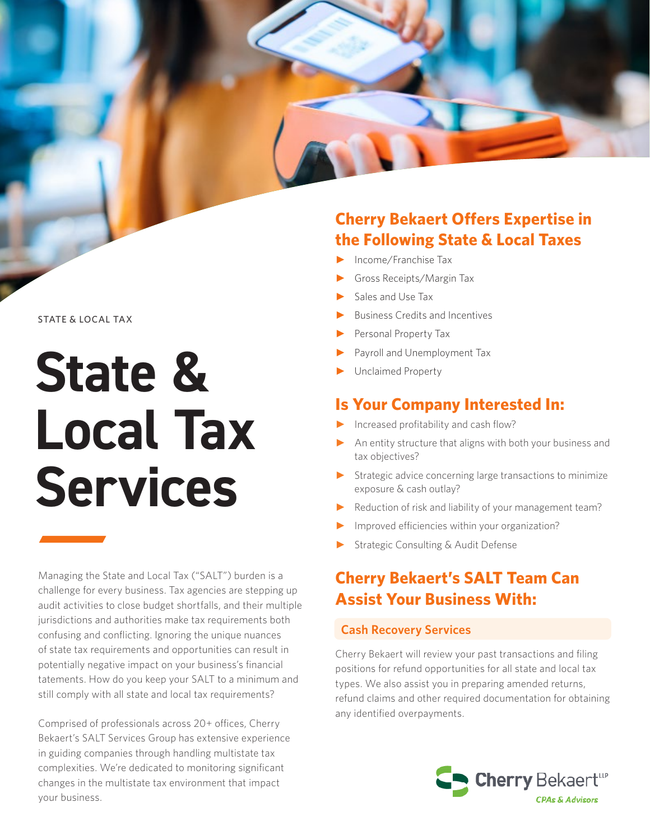#### STATE & LOCAL TAX

# **State & Local Tax Services**

Managing the State and Local Tax ("SALT") burden is a challenge for every business. Tax agencies are stepping up audit activities to close budget shortfalls, and their multiple jurisdictions and authorities make tax requirements both confusing and conflicting. Ignoring the unique nuances of state tax requirements and opportunities can result in potentially negative impact on your business's financial tatements. How do you keep your SALT to a minimum and still comply with all state and local tax requirements?

Comprised of professionals across 20+ offices, Cherry Bekaert's SALT Services Group has extensive experience in guiding companies through handling multistate tax complexities. We're dedicated to monitoring significant changes in the multistate tax environment that impact your business.

## **Cherry Bekaert Offers Expertise in the Following State & Local Taxes**

- ► Income/Franchise Tax
- ► Gross Receipts/Margin Tax
- Sales and Use Tax
- ► Business Credits and Incentives
- Personal Property Tax
- Payroll and Unemployment Tax
- ► Unclaimed Property

## **Is Your Company Interested In:**

- ► Increased profitability and cash flow?
- ► An entity structure that aligns with both your business and tax objectives?
- $\blacktriangleright$  Strategic advice concerning large transactions to minimize exposure & cash outlay?
- Reduction of risk and liability of your management team?
- Improved efficiencies within your organization?
- Strategic Consulting & Audit Defense

## **Cherry Bekaert's SALT Team Can Assist Your Business With:**

#### **Cash Recovery Services**

Cherry Bekaert will review your past transactions and filing positions for refund opportunities for all state and local tax types. We also assist you in preparing amended returns, refund claims and other required documentation for obtaining any identified overpayments.